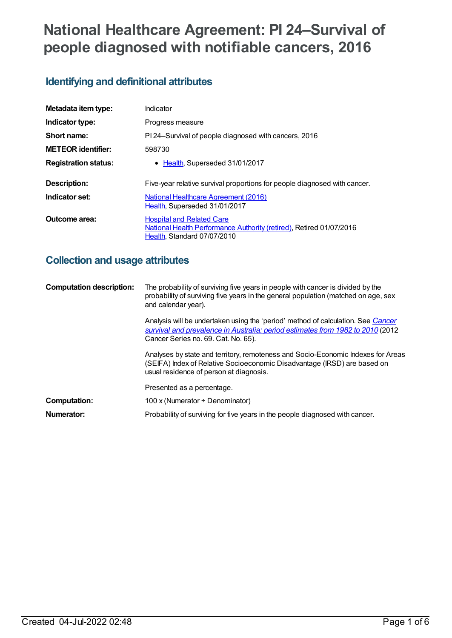# **National Healthcare Agreement: PI 24–Survival of people diagnosed with notifiable cancers, 2016**

# **Identifying and definitional attributes**

| Metadata item type:         | Indicator                                                                                                                              |
|-----------------------------|----------------------------------------------------------------------------------------------------------------------------------------|
| Indicator type:             | Progress measure                                                                                                                       |
| Short name:                 | PI 24-Survival of people diagnosed with cancers, 2016                                                                                  |
| <b>METEOR identifier:</b>   | 598730                                                                                                                                 |
| <b>Registration status:</b> | • Health, Superseded 31/01/2017                                                                                                        |
| Description:                | Five-year relative survival proportions for people diagnosed with cancer.                                                              |
| Indicator set:              | <b>National Healthcare Agreement (2016)</b><br>Health, Superseded 31/01/2017                                                           |
| Outcome area:               | <b>Hospital and Related Care</b><br>National Health Performance Authority (retired), Retired 01/07/2016<br>Health, Standard 07/07/2010 |

## **Collection and usage attributes**

| <b>Computation description:</b> | The probability of surviving five years in people with cancer is divided by the<br>probability of surviving five years in the general population (matched on age, sex<br>and calendar year).              |
|---------------------------------|-----------------------------------------------------------------------------------------------------------------------------------------------------------------------------------------------------------|
|                                 | Analysis will be undertaken using the 'period' method of calculation. See Cancer<br>survival and prevalence in Australia: period estimates from 1982 to 2010 (2012<br>Cancer Series no. 69. Cat. No. 65). |
|                                 | Analyses by state and territory, remoteness and Socio-Economic Indexes for Areas<br>(SEIFA) Index of Relative Socioeconomic Disadvantage (IRSD) are based on<br>usual residence of person at diagnosis.   |
|                                 | Presented as a percentage.                                                                                                                                                                                |
| Computation:                    | 100 x (Numerator $\div$ Denominator)                                                                                                                                                                      |
| Numerator:                      | Probability of surviving for five years in the people diagnosed with cancer.                                                                                                                              |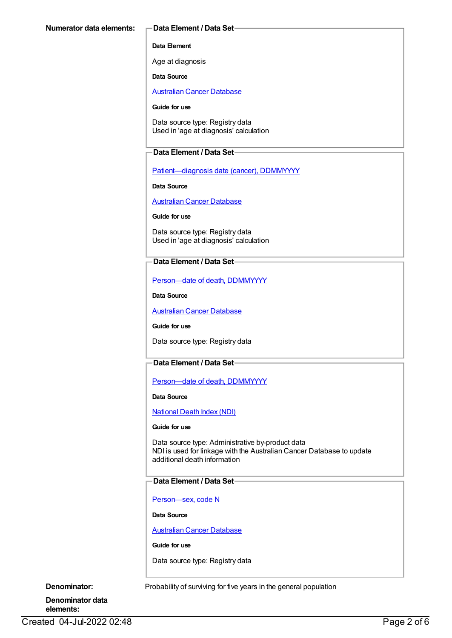#### **Data Element**

Age at diagnosis

**Data Source**

[Australian](https://meteor.aihw.gov.au/content/393621) Cancer Database

#### **Guide for use**

Data source type: Registry data Used in 'age at diagnosis' calculation

#### **Data Element / Data Set**

[Patient—diagnosis](https://meteor.aihw.gov.au/content/270061) date (cancer), DDMMYYYY

**Data Source**

[Australian](https://meteor.aihw.gov.au/content/393621) Cancer Database

**Guide for use**

Data source type: Registry data Used in 'age at diagnosis' calculation

### **Data Element / Data Set**

[Person—date](https://meteor.aihw.gov.au/content/287305) of death, DDMMYYYY

**Data Source**

[Australian](https://meteor.aihw.gov.au/content/393621) Cancer Database

**Guide for use**

Data source type: Registry data

### **Data Element / Data Set**

Person-date of death, DDMMYYYY

**Data Source**

[National](https://meteor.aihw.gov.au/content/395083) Death Index (NDI)

#### **Guide for use**

Data source type: Administrative by-product data NDI is used for linkage with the Australian Cancer Database to update additional death information

#### **Data Element / Data Set**

[Person—sex,](https://meteor.aihw.gov.au/content/287316) code N

**Data Source**

[Australian](https://meteor.aihw.gov.au/content/393621) Cancer Database

**Guide for use**

Data source type: Registry data

**Denominator:** Probability of surviving for five years in the general population

**Denominator data elements:**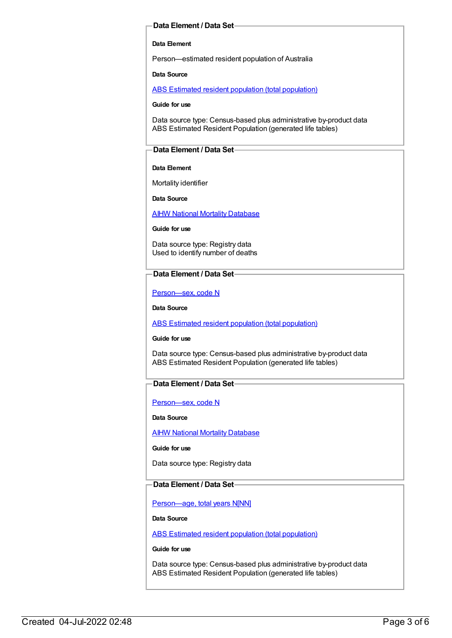#### **Data Element / Data Set**

#### **Data Element**

Person—estimated resident population of Australia

**Data Source**

ABS Estimated resident population (total [population\)](https://meteor.aihw.gov.au/content/393625)

**Guide for use**

Data source type: Census-based plus administrative by-product data ABS Estimated Resident Population (generated life tables)

#### **Data Element / Data Set**

#### **Data Element**

Mortality identifier

**Data Source**

**AIHW National Mortality [Database](https://meteor.aihw.gov.au/content/395084)** 

**Guide for use**

Data source type: Registry data Used to identify number of deaths

#### **Data Element / Data Set**

[Person—sex,](https://meteor.aihw.gov.au/content/287316) code N

**Data Source**

ABS Estimated resident population (total [population\)](https://meteor.aihw.gov.au/content/393625)

**Guide for use**

Data source type: Census-based plus administrative by-product data ABS Estimated Resident Population (generated life tables)

#### **Data Element / Data Set**

[Person—sex,](https://meteor.aihw.gov.au/content/287316) code N

**Data Source**

AIHW National Mortality [Database](https://meteor.aihw.gov.au/content/395084)

**Guide for use**

Data source type: Registry data

#### **Data Element / Data Set**

[Person—age,](https://meteor.aihw.gov.au/content/303794) total years N[NN]

**Data Source**

ABS Estimated resident population (total [population\)](https://meteor.aihw.gov.au/content/393625)

**Guide for use**

Data source type: Census-based plus administrative by-product data ABS Estimated Resident Population (generated life tables)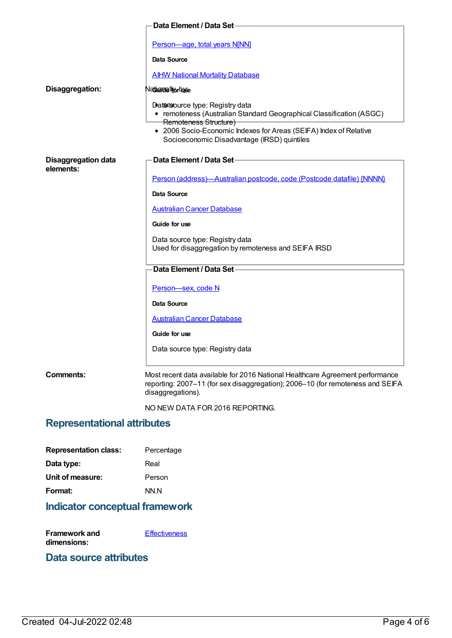|                            | <b>Data Element / Data Set-</b>                                                                                                                                                                                                                      |
|----------------------------|------------------------------------------------------------------------------------------------------------------------------------------------------------------------------------------------------------------------------------------------------|
|                            | Person-age, total years N[NN]                                                                                                                                                                                                                        |
|                            | Data Source                                                                                                                                                                                                                                          |
|                            | <b>AIHW National Mortality Database</b>                                                                                                                                                                                                              |
| Disaggregation:            | Nadigidalhorbuse                                                                                                                                                                                                                                     |
|                            | Dataesource type: Registry data<br>• remoteness (Australian Standard Geographical Classification (ASGC)<br>Remoteness Structure)<br>• 2006 Socio-Economic Indexes for Areas (SEIFA) Index of Relative<br>Socioeconomic Disadvantage (IRSD) quintiles |
| <b>Disaggregation data</b> | Data Element / Data Set-                                                                                                                                                                                                                             |
| elements:                  | Person (address)-Australian postcode, code (Postcode datafile) {NNNN}                                                                                                                                                                                |
|                            | Data Source                                                                                                                                                                                                                                          |
|                            | <b>Australian Cancer Database</b>                                                                                                                                                                                                                    |
|                            | Guide for use                                                                                                                                                                                                                                        |
|                            | Data source type: Registry data<br>Used for disaggregation by remoteness and SEIFA IRSD                                                                                                                                                              |
|                            | Data Element / Data Set-                                                                                                                                                                                                                             |
|                            | Person-sex, code N                                                                                                                                                                                                                                   |
|                            | Data Source                                                                                                                                                                                                                                          |
|                            | <b>Australian Cancer Database</b>                                                                                                                                                                                                                    |
|                            | Guide for use                                                                                                                                                                                                                                        |
|                            | Data source type: Registry data                                                                                                                                                                                                                      |
| Comments:                  | Most recent data available for 2016 National Healthcare Agreement performance<br>reporting: 2007-11 (for sex disaggregation); 2006-10 (for remoteness and SEIFA<br>disaggregations).                                                                 |
|                            | NO NEW DATA FOR 2016 REPORTING.                                                                                                                                                                                                                      |

# **Representational attributes**

| <b>Representation class:</b> | Percentage |
|------------------------------|------------|
| Data type:                   | Real       |
| Unit of measure:             | Person     |
| Format:                      | NN N       |
|                              |            |

# **Indicator conceptual framework**

| Framework and | <b>Effectiveness</b> |
|---------------|----------------------|
| dimensions:   |                      |

# **Data source attributes**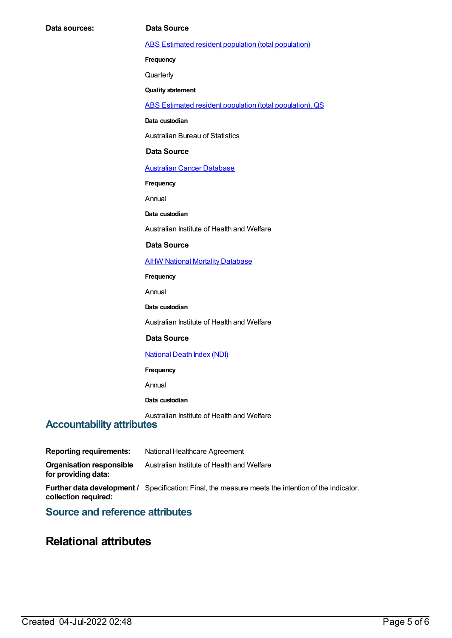ABS Estimated resident population (total [population\)](https://meteor.aihw.gov.au/content/393625)

**Frequency**

**Quarterly** 

**Quality statement**

ABS Estimated resident population (total [population\),](https://meteor.aihw.gov.au/content/449216) QS

**Data custodian**

Australian Bureau of Statistics

#### **Data Source**

[Australian](https://meteor.aihw.gov.au/content/393621) Cancer Database

**Frequency**

Annual

**Data custodian**

Australian Institute of Health and Welfare

#### **Data Source**

**AIHW National Mortality [Database](https://meteor.aihw.gov.au/content/395084)** 

**Frequency**

Annual

**Data custodian**

Australian Institute of Health and Welfare

#### **Data Source**

#### [National](https://meteor.aihw.gov.au/content/395083) Death Index (NDI)

**Frequency**

Annual

#### **Data custodian**

Australian Institute of Health and Welfare

### **Accountability attributes**

**Reporting requirements:** National Healthcare Agreement

**Organisation responsible** Australian Institute of Health and Welfare

**Further data development /** Specification: Final, the measure meets the intention of the indicator. **collection required:**

### **Source and reference attributes**

## **Relational attributes**

**for providing data:**